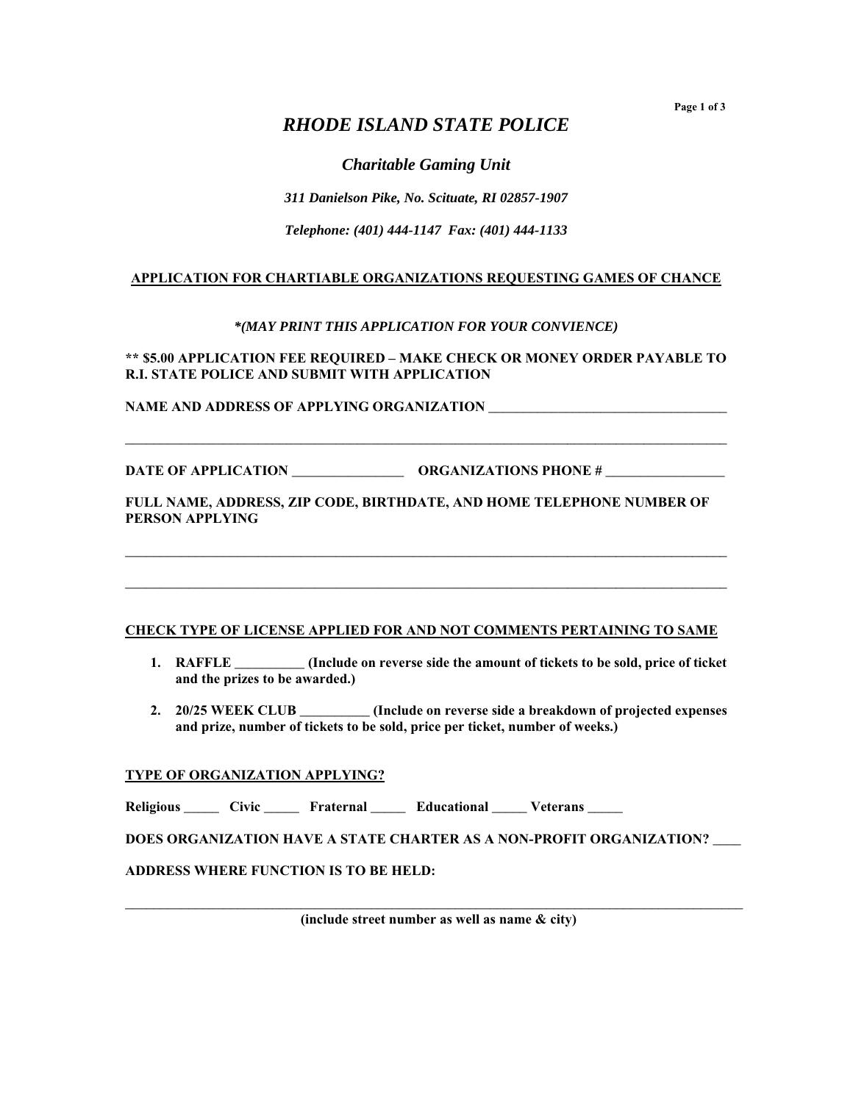**Page 1 of 3** 

# *RHODE ISLAND STATE POLICE*

*Charitable Gaming Unit* 

*311 Danielson Pike, No. Scituate, RI 02857-1907* 

*Telephone: (401) 444-1147 Fax: (401) 444-1133* 

### **APPLICATION FOR CHARTIABLE ORGANIZATIONS REQUESTING GAMES OF CHANCE**

*\*(MAY PRINT THIS APPLICATION FOR YOUR CONVIENCE)* 

**\*\* \$5.00 APPLICATION FEE REQUIRED – MAKE CHECK OR MONEY ORDER PAYABLE TO R.I. STATE POLICE AND SUBMIT WITH APPLICATION** 

**\_\_\_\_\_\_\_\_\_\_\_\_\_\_\_\_\_\_\_\_\_\_\_\_\_\_\_\_\_\_\_\_\_\_\_\_\_\_\_\_\_\_\_\_\_\_\_\_\_\_\_\_\_\_\_\_\_\_\_\_\_\_\_\_\_\_\_\_\_\_\_\_\_\_\_\_\_\_\_\_\_\_\_\_\_\_**

**NAME AND ADDRESS OF APPLYING ORGANIZATION \_\_\_\_\_\_\_\_\_\_\_\_\_\_\_\_\_\_\_\_\_\_\_\_\_\_\_\_\_\_\_\_\_\_** 

**DATE OF APPLICATION \_\_\_\_\_\_\_\_\_\_\_\_\_\_\_\_ ORGANIZATIONS PHONE # \_\_\_\_\_\_\_\_\_\_\_\_\_\_\_\_\_** 

**FULL NAME, ADDRESS, ZIP CODE, BIRTHDATE, AND HOME TELEPHONE NUMBER OF PERSON APPLYING** 

**\_\_\_\_\_\_\_\_\_\_\_\_\_\_\_\_\_\_\_\_\_\_\_\_\_\_\_\_\_\_\_\_\_\_\_\_\_\_\_\_\_\_\_\_\_\_\_\_\_\_\_\_\_\_\_\_\_\_\_\_\_\_\_\_\_\_\_\_\_\_\_\_\_\_\_\_\_\_\_\_\_\_\_\_\_\_**

**\_\_\_\_\_\_\_\_\_\_\_\_\_\_\_\_\_\_\_\_\_\_\_\_\_\_\_\_\_\_\_\_\_\_\_\_\_\_\_\_\_\_\_\_\_\_\_\_\_\_\_\_\_\_\_\_\_\_\_\_\_\_\_\_\_\_\_\_\_\_\_\_\_\_\_\_\_\_\_\_\_\_\_\_\_\_**

#### **CHECK TYPE OF LICENSE APPLIED FOR AND NOT COMMENTS PERTAINING TO SAME**

- **1. RAFFLE \_\_\_\_\_\_\_\_\_\_ (Include on reverse side the amount of tickets to be sold, price of ticket and the prizes to be awarded.)**
- **2. 20/25 WEEK CLUB \_\_\_\_\_\_\_\_\_\_ (Include on reverse side a breakdown of projected expenses and prize, number of tickets to be sold, price per ticket, number of weeks.)**

#### **TYPE OF ORGANIZATION APPLYING?**

Religious \_\_\_\_\_ Civic \_\_\_\_\_ Fraternal \_\_\_\_ Educational \_\_\_\_ Veterans \_\_\_

**DOES ORGANIZATION HAVE A STATE CHARTER AS A NON-PROFIT ORGANIZATION? \_\_\_\_** 

**ADDRESS WHERE FUNCTION IS TO BE HELD:** 

**\_\_\_\_\_\_\_\_\_\_\_\_\_\_\_\_\_\_\_\_\_\_\_\_\_\_\_\_\_\_\_\_\_\_\_\_\_\_\_\_\_\_\_\_\_\_\_\_\_\_\_\_\_\_\_\_\_\_\_\_\_\_\_\_\_\_\_\_\_\_\_\_\_\_\_\_\_\_\_\_\_\_\_\_\_\_\_\_ (include street number as well as name & city)**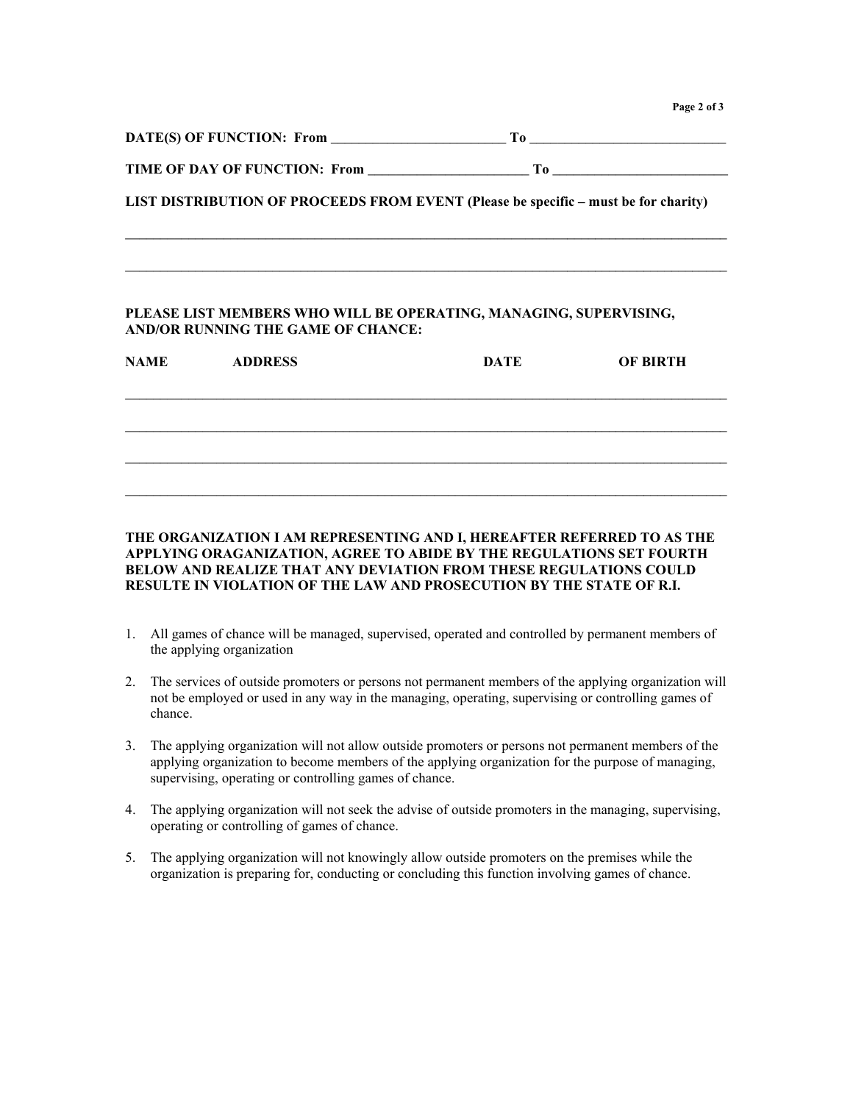**Page 2 of 3**

| DATE(S) OF FUNCTION: From     | T`o                                                                                 |
|-------------------------------|-------------------------------------------------------------------------------------|
| TIME OF DAY OF FUNCTION: From | T`0-                                                                                |
|                               | LIST DISTRIBUTION OF PROCEEDS FROM EVENT (Please be specific – must be for charity) |
|                               |                                                                                     |

**\_\_\_\_\_\_\_\_\_\_\_\_\_\_\_\_\_\_\_\_\_\_\_\_\_\_\_\_\_\_\_\_\_\_\_\_\_\_\_\_\_\_\_\_\_\_\_\_\_\_\_\_\_\_\_\_\_\_\_\_\_\_\_\_\_\_\_\_\_\_\_\_\_\_\_\_\_\_\_\_\_\_\_\_\_\_**

#### **PLEASE LIST MEMBERS WHO WILL BE OPERATING, MANAGING, SUPERVISING, AND/OR RUNNING THE GAME OF CHANCE:**

| <b>NAME</b> | <b>ADDRESS</b> | <b>DATE</b> | <b>OF BIRTH</b> |
|-------------|----------------|-------------|-----------------|
|             |                |             |                 |
|             |                |             |                 |
|             |                |             |                 |

### **THE ORGANIZATION I AM REPRESENTING AND I, HEREAFTER REFERRED TO AS THE APPLYING ORAGANIZATION, AGREE TO ABIDE BY THE REGULATIONS SET FOURTH BELOW AND REALIZE THAT ANY DEVIATION FROM THESE REGULATIONS COULD RESULTE IN VIOLATION OF THE LAW AND PROSECUTION BY THE STATE OF R.I.**

- 1. All games of chance will be managed, supervised, operated and controlled by permanent members of the applying organization
- 2. The services of outside promoters or persons not permanent members of the applying organization will not be employed or used in any way in the managing, operating, supervising or controlling games of chance.
- 3. The applying organization will not allow outside promoters or persons not permanent members of the applying organization to become members of the applying organization for the purpose of managing, supervising, operating or controlling games of chance.
- 4. The applying organization will not seek the advise of outside promoters in the managing, supervising, operating or controlling of games of chance.
- 5. The applying organization will not knowingly allow outside promoters on the premises while the organization is preparing for, conducting or concluding this function involving games of chance.